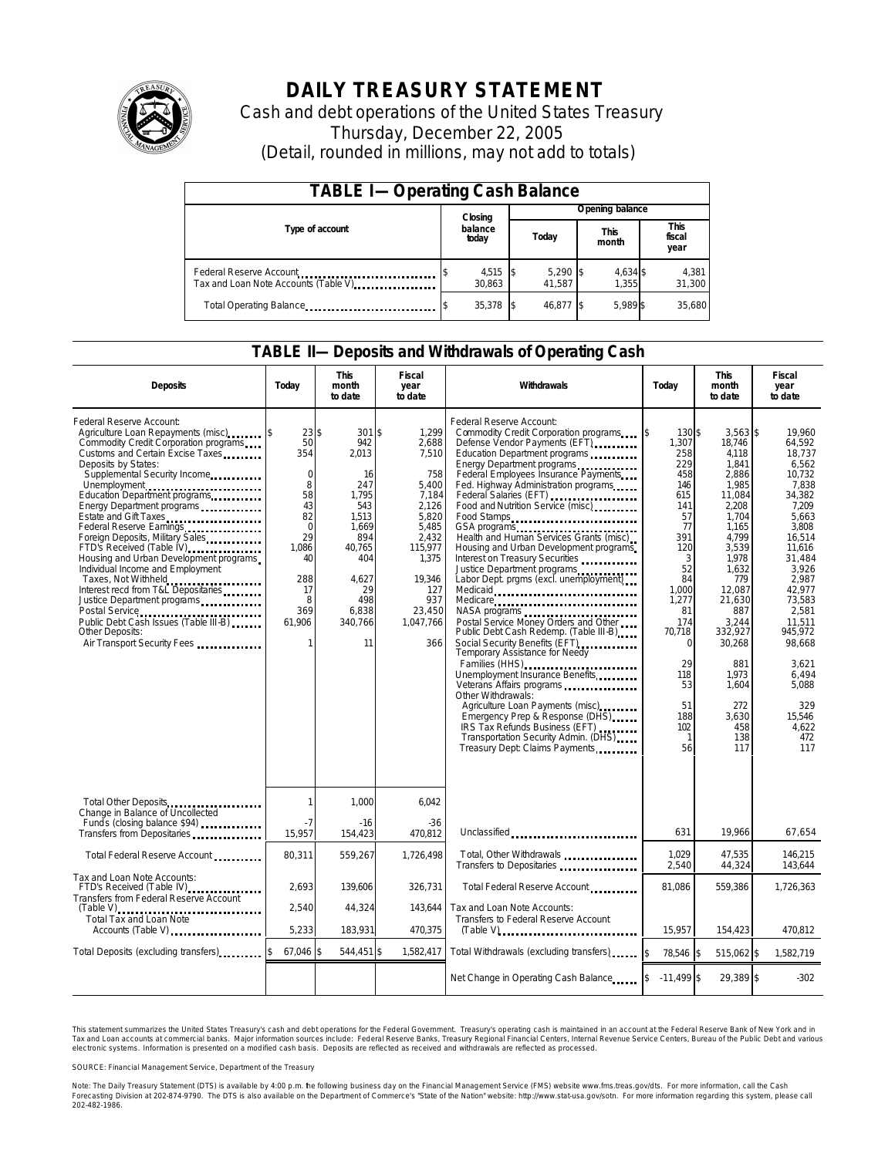

# **DAILY TREASURY STATEMENT**

Cash and debt operations of the United States Treasury Thursday, December 22, 2005 (Detail, rounded in millions, may not add to totals)

| <b>TABLE I-Operating Cash Balance</b>                            |  |                      |  |                      |  |                      |  |                        |
|------------------------------------------------------------------|--|----------------------|--|----------------------|--|----------------------|--|------------------------|
|                                                                  |  | Closing              |  | Opening balance      |  |                      |  |                        |
| Type of account                                                  |  | balance<br>today     |  | Today                |  | <b>This</b><br>month |  | This<br>fiscal<br>year |
| Federal Reserve Account<br>Tax and Loan Note Accounts (Table V). |  | $4,515$ \$<br>30.863 |  | $5,290$ \$<br>41.587 |  | 4,634 \$<br>1.355    |  | 4,381<br>31,300        |
| Total Operating Balance                                          |  | 35,378 \$            |  | 46.877 \$            |  | 5.989 \$             |  | 35,680                 |

### **TABLE II—Deposits and Withdrawals of Operating Cash**

| <b>Deposits</b>                                                                                                                                                                                                                                                                                                                                                                                                                                                                                                                                                                                                              | Today                                                                                                                              | <b>This</b><br>month<br>to date                                                                                                             | Fiscal<br>year<br>to date                                                                                                                                      | <b>Withdrawals</b>                                                                                                                                                                                                                                                                                                                                                                                                                                                                                                                                                                                                                                                                                                                                                                                                                                                                                                                                          | Today                                                                                                                                                                                                                  | <b>This</b><br>month<br>to date                                                                                                                                                                                                                                 | <b>Fiscal</b><br>year<br>to date                                                                                                                                                                                                                                           |
|------------------------------------------------------------------------------------------------------------------------------------------------------------------------------------------------------------------------------------------------------------------------------------------------------------------------------------------------------------------------------------------------------------------------------------------------------------------------------------------------------------------------------------------------------------------------------------------------------------------------------|------------------------------------------------------------------------------------------------------------------------------------|---------------------------------------------------------------------------------------------------------------------------------------------|----------------------------------------------------------------------------------------------------------------------------------------------------------------|-------------------------------------------------------------------------------------------------------------------------------------------------------------------------------------------------------------------------------------------------------------------------------------------------------------------------------------------------------------------------------------------------------------------------------------------------------------------------------------------------------------------------------------------------------------------------------------------------------------------------------------------------------------------------------------------------------------------------------------------------------------------------------------------------------------------------------------------------------------------------------------------------------------------------------------------------------------|------------------------------------------------------------------------------------------------------------------------------------------------------------------------------------------------------------------------|-----------------------------------------------------------------------------------------------------------------------------------------------------------------------------------------------------------------------------------------------------------------|----------------------------------------------------------------------------------------------------------------------------------------------------------------------------------------------------------------------------------------------------------------------------|
| Federal Reserve Account:<br>Agriculture Loan Repayments (misc)<br>Commodity Credit Corporation programs<br>Customs and Certain Excise Taxes<br>Deposits by States:<br>Supplemental Security Income<br>Energy Department programs<br>Estate and Gift Taxes<br>Federal Reserve Earnings<br>Foreign Deposits, Military Sales<br>FTD's Received (Table IV)<br>Housing and Urban Development programs<br>Individual Income and Employment<br>Taxes, Not Withheld<br>Interest recd from T&L Depositaries<br>Justice Department programs<br>Public Debt Cash Issues (Table III-B)<br>Other Deposits:<br>Air Transport Security Fees | 23S<br>50<br>354<br>$\mathbf 0$<br>8<br>58<br>43<br>82<br>$\mathbf 0$<br>29<br>1.086<br>40<br>288<br>17<br>8<br>369<br>61,906<br>1 | 301S<br>942<br>2,013<br>16<br>247<br>1,795<br>543<br>1.513<br>1,669<br>894<br>40.765<br>404<br>4.627<br>29<br>498<br>6,838<br>340,766<br>11 | 1,299<br>2,688<br>7,510<br>758<br>5,400<br>7,184<br>2,126<br>5,820<br>5,485<br>2.432<br>115,977<br>1,375<br>19.346<br>127<br>937<br>23,450<br>1,047,766<br>366 | Federal Reserve Account:<br>Commodity Credit Corporation programs \$<br>Defense Vendor Payments (EFT)<br>Education Department programs<br>Energy Department programs<br>Federal Employees Insurance Payments<br>Fed. Highway Administration programs<br>Federal Salaries (EFT)<br>Food Stamps<br>GSA programs<br>Health and Human Services Grants (misc)<br>Housing and Urban Development programs<br>Interest on Treasury Securities<br>Justice Department programs<br>Labor Dept. prgms (excl. unemployment)<br>Medicaid<br>Medicare<br>Postal Service Money Orders and Other<br>Public Debt Cash Redemp. (Table III-B)<br>Social Security Benefits (EFT)<br>Temporary Assistance for Needy<br>Families (HHS)<br>Unemployment Insurance Benefits<br>Other Withdrawals:<br>Agriculture Loan Payments (misc)<br>Emergency Prep & Response (DHS)<br>IRS Tax Refunds Business (EFT)<br>Transportation Security Admin. (DHS)<br>Treasury Dept: Claims Payments | 130 \$<br>1,307<br>258<br>229<br>458<br>146<br>615<br>141<br>57<br>77<br>391<br>120<br>3<br>52<br>84<br>1.000<br>1,277<br>81<br>174<br>70,718<br>$\Omega$<br>29<br>118<br>53<br>51<br>188<br>102<br>$\mathbf{1}$<br>56 | $3,563$ \$<br>18.746<br>4,118<br>1.841<br>2,886<br>1,985<br>11,084<br>2,208<br>1.704<br>1,165<br>4.799<br>3,539<br>1.978<br>1,632<br>779<br>12,087<br>21,630<br>887<br>3,244<br>332,927<br>30,268<br>881<br>1,973<br>1.604<br>272<br>3,630<br>458<br>138<br>117 | 19.960<br>64.592<br>18.737<br>6.562<br>10,732<br>7,838<br>34,382<br>7,209<br>5.663<br>3,808<br>16.514<br>11,616<br>31.484<br>3.926<br>2.987<br>42.977<br>73,583<br>2.581<br>11,511<br>945.972<br>98,668<br>3.621<br>6.494<br>5.088<br>329<br>15.546<br>4.622<br>472<br>117 |
| Total Other Deposits<br>Change in Balance of Uncollected<br>Funds (closing balance \$94)                                                                                                                                                                                                                                                                                                                                                                                                                                                                                                                                     | 1<br>- 7                                                                                                                           | 1,000<br>$-16$                                                                                                                              | 6,042<br>$-36$                                                                                                                                                 |                                                                                                                                                                                                                                                                                                                                                                                                                                                                                                                                                                                                                                                                                                                                                                                                                                                                                                                                                             |                                                                                                                                                                                                                        |                                                                                                                                                                                                                                                                 |                                                                                                                                                                                                                                                                            |
| Transfers from Depositaries                                                                                                                                                                                                                                                                                                                                                                                                                                                                                                                                                                                                  | 15,957                                                                                                                             | 154,423                                                                                                                                     | 470,812                                                                                                                                                        | Unclassified                                                                                                                                                                                                                                                                                                                                                                                                                                                                                                                                                                                                                                                                                                                                                                                                                                                                                                                                                | 631                                                                                                                                                                                                                    | 19.966                                                                                                                                                                                                                                                          | 67,654                                                                                                                                                                                                                                                                     |
| Total Federal Reserve Account                                                                                                                                                                                                                                                                                                                                                                                                                                                                                                                                                                                                | 80,311                                                                                                                             | 559,267                                                                                                                                     | 1.726.498                                                                                                                                                      | Total, Other Withdrawals<br>Transfers to Depositaries                                                                                                                                                                                                                                                                                                                                                                                                                                                                                                                                                                                                                                                                                                                                                                                                                                                                                                       | 1,029<br>2,540                                                                                                                                                                                                         | 47,535<br>44,324                                                                                                                                                                                                                                                | 146,215<br>143,644                                                                                                                                                                                                                                                         |
| Tax and Loan Note Accounts:<br>FTD's Received (Table IV)<br>Transfers from Federal Reserve Account                                                                                                                                                                                                                                                                                                                                                                                                                                                                                                                           | 2.693                                                                                                                              | 139.606                                                                                                                                     | 326.731                                                                                                                                                        | Total Federal Reserve Account                                                                                                                                                                                                                                                                                                                                                                                                                                                                                                                                                                                                                                                                                                                                                                                                                                                                                                                               | 81.086                                                                                                                                                                                                                 | 559,386                                                                                                                                                                                                                                                         | 1,726,363                                                                                                                                                                                                                                                                  |
| $(Table V)$<br><br>Total Tax and Loan Note<br>Accounts (Table V)                                                                                                                                                                                                                                                                                                                                                                                                                                                                                                                                                             | 2,540<br>5,233                                                                                                                     | 44,324<br>183,931                                                                                                                           | 143,644<br>470,375                                                                                                                                             | Tax and Loan Note Accounts:<br>Transfers to Federal Reserve Account                                                                                                                                                                                                                                                                                                                                                                                                                                                                                                                                                                                                                                                                                                                                                                                                                                                                                         | 15,957                                                                                                                                                                                                                 | 154,423                                                                                                                                                                                                                                                         | 470,812                                                                                                                                                                                                                                                                    |
| Total Deposits (excluding transfers)                                                                                                                                                                                                                                                                                                                                                                                                                                                                                                                                                                                         | 67.046 \$                                                                                                                          | 544,451 \$                                                                                                                                  | 1,582,417                                                                                                                                                      | Total Withdrawals (excluding transfers)                                                                                                                                                                                                                                                                                                                                                                                                                                                                                                                                                                                                                                                                                                                                                                                                                                                                                                                     | 78,546 \$<br><sup>\$</sup>                                                                                                                                                                                             | 515,062 \$                                                                                                                                                                                                                                                      | 1,582,719                                                                                                                                                                                                                                                                  |
|                                                                                                                                                                                                                                                                                                                                                                                                                                                                                                                                                                                                                              |                                                                                                                                    |                                                                                                                                             |                                                                                                                                                                | Net Change in Operating Cash Balance                                                                                                                                                                                                                                                                                                                                                                                                                                                                                                                                                                                                                                                                                                                                                                                                                                                                                                                        | $-11.499$ \$<br>\$                                                                                                                                                                                                     | 29,389 \$                                                                                                                                                                                                                                                       | $-302$                                                                                                                                                                                                                                                                     |

This statement summarizes the United States Treasury's cash and debt operations for the Federal Government. Treasury's operating cash is maintained in an account at the Federal Reserve Bank of New York and in Tax and Loan accounts at commercial banks. Major information sources include: Federal Reserve Banks, Treasury Regional Financial Centers, Internal Revenue Service Centers, Bureau of the Public Debt and various<br>electronic s

SOURCE: Financial Management Service, Department of the Treasury

Note: The Daily Treasury Statement (DTS) is available by 4:00 p.m. he following business day on the Financial Management Service (FMS) website www.fms.treas.gov/dts.<br>Forecasting Division at 202-874-9790. The DTS is also av 'S) is available by 4:00 p.m. he following business day on the Financial Management Service (FMS) website www.fms.treas.gov/dts. For more information, call the Cash<br>The DTS is also available on the Department of Commerce's